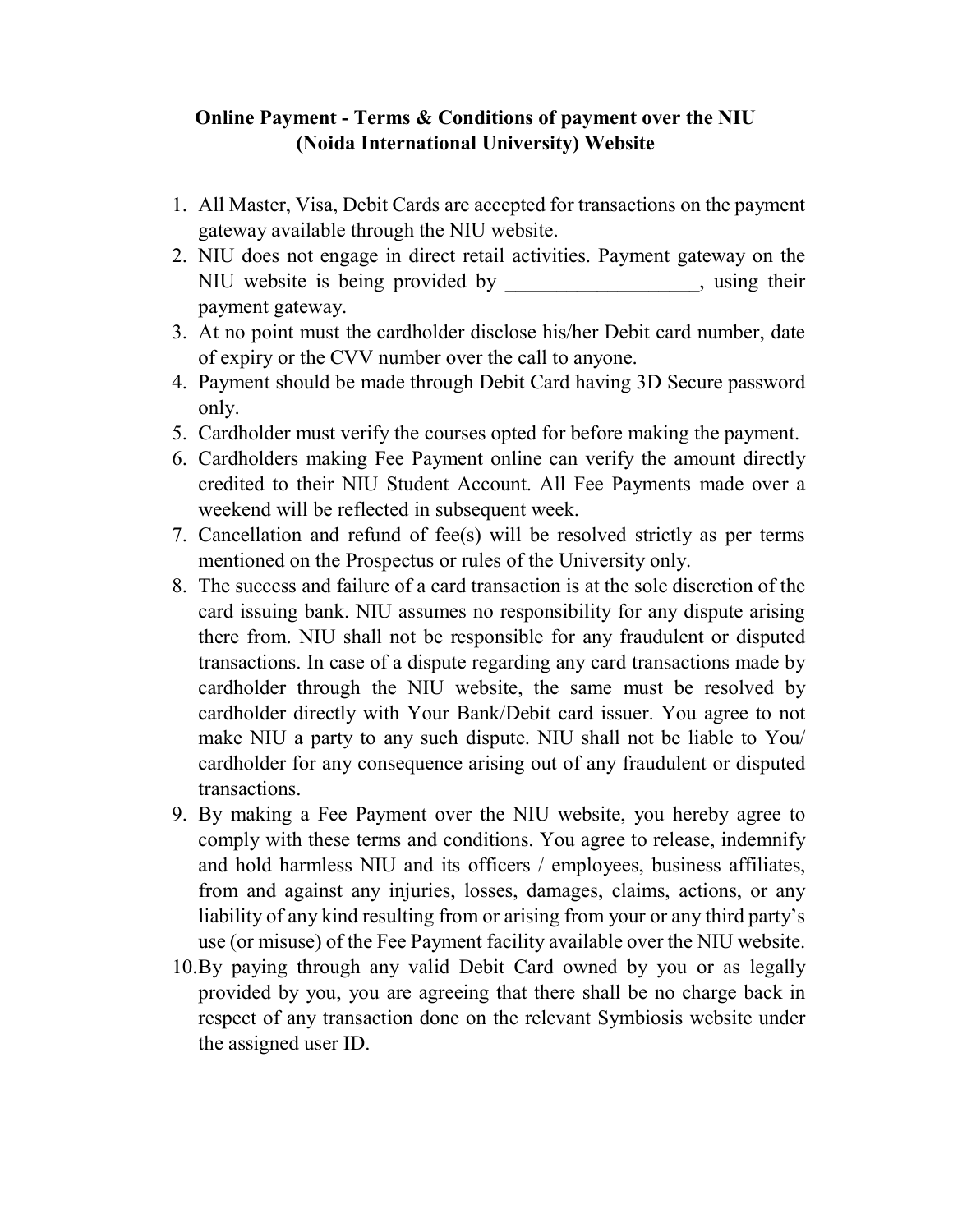# Online Payment - Terms & Conditions of payment over the NIU (Noida International University) Website

- 1. All Master, Visa, Debit Cards are accepted for transactions on the payment gateway available through the NIU website.
- 2. NIU does not engage in direct retail activities. Payment gateway on the NIU website is being provided by example the same summary setting their payment gateway.
- 3. At no point must the cardholder disclose his/her Debit card number, date of expiry or the CVV number over the call to anyone.
- 4. Payment should be made through Debit Card having 3D Secure password only.
- 5. Cardholder must verify the courses opted for before making the payment.
- 6. Cardholders making Fee Payment online can verify the amount directly credited to their NIU Student Account. All Fee Payments made over a weekend will be reflected in subsequent week.
- 7. Cancellation and refund of fee(s) will be resolved strictly as per terms mentioned on the Prospectus or rules of the University only.
- 8. The success and failure of a card transaction is at the sole discretion of the card issuing bank. NIU assumes no responsibility for any dispute arising there from. NIU shall not be responsible for any fraudulent or disputed transactions. In case of a dispute regarding any card transactions made by cardholder through the NIU website, the same must be resolved by cardholder directly with Your Bank/Debit card issuer. You agree to not make NIU a party to any such dispute. NIU shall not be liable to You/ cardholder for any consequence arising out of any fraudulent or disputed transactions.
- 9. By making a Fee Payment over the NIU website, you hereby agree to comply with these terms and conditions. You agree to release, indemnify and hold harmless NIU and its officers / employees, business affiliates, from and against any injuries, losses, damages, claims, actions, or any liability of any kind resulting from or arising from your or any third party's use (or misuse) of the Fee Payment facility available over the NIU website.
- 10.By paying through any valid Debit Card owned by you or as legally provided by you, you are agreeing that there shall be no charge back in respect of any transaction done on the relevant Symbiosis website under the assigned user ID.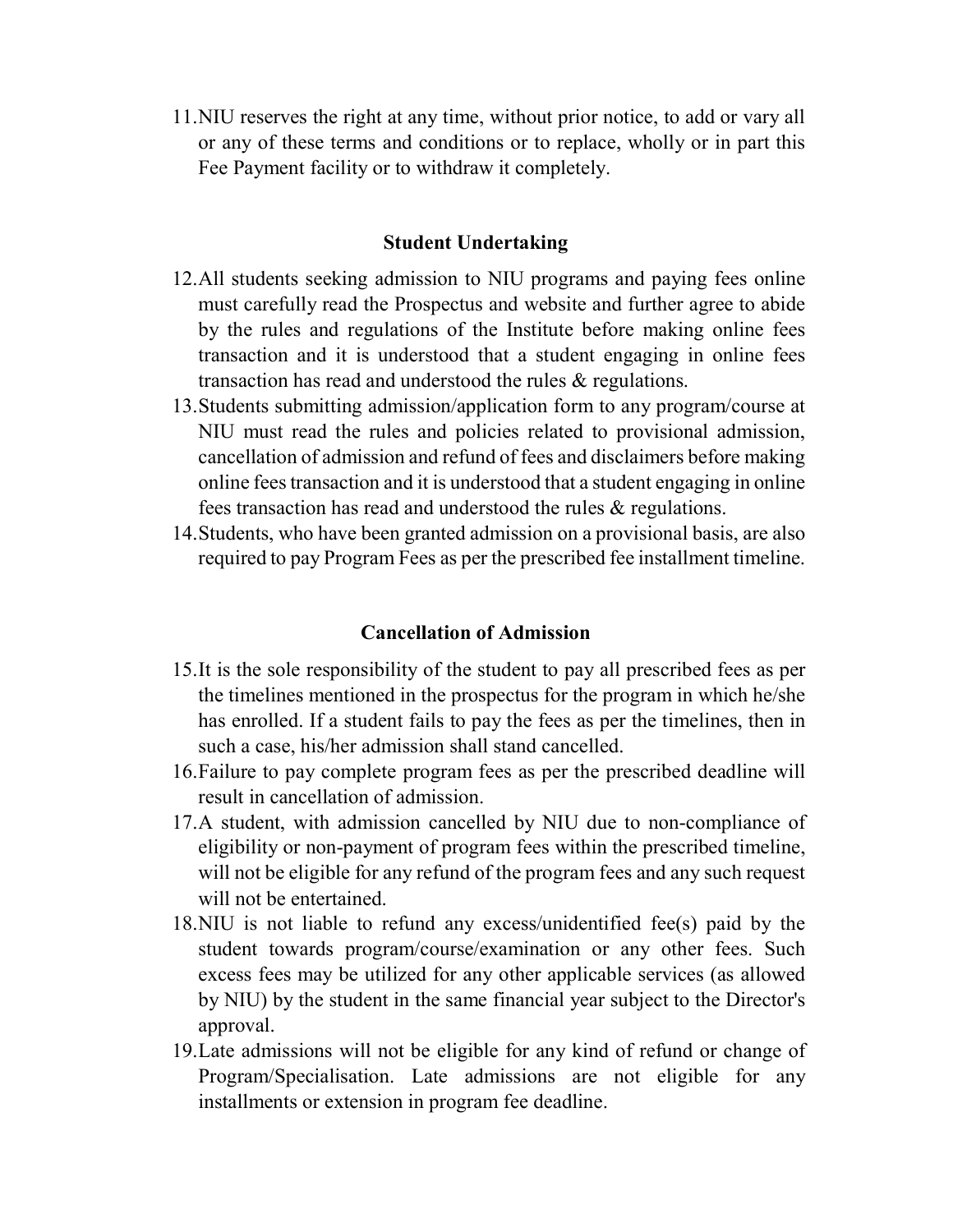11.NIU reserves the right at any time, without prior notice, to add or vary all or any of these terms and conditions or to replace, wholly or in part this Fee Payment facility or to withdraw it completely.

## Student Undertaking

- 12.All students seeking admission to NIU programs and paying fees online must carefully read the Prospectus and website and further agree to abide by the rules and regulations of the Institute before making online fees transaction and it is understood that a student engaging in online fees transaction has read and understood the rules & regulations.
- 13.Students submitting admission/application form to any program/course at NIU must read the rules and policies related to provisional admission, cancellation of admission and refund of fees and disclaimers before making online fees transaction and it is understood that a student engaging in online fees transaction has read and understood the rules & regulations.
- 14.Students, who have been granted admission on a provisional basis, are also required to pay Program Fees as per the prescribed fee installment timeline.

### Cancellation of Admission

- 15.It is the sole responsibility of the student to pay all prescribed fees as per the timelines mentioned in the prospectus for the program in which he/she has enrolled. If a student fails to pay the fees as per the timelines, then in such a case, his/her admission shall stand cancelled.
- 16.Failure to pay complete program fees as per the prescribed deadline will result in cancellation of admission.
- 17.A student, with admission cancelled by NIU due to non-compliance of eligibility or non-payment of program fees within the prescribed timeline, will not be eligible for any refund of the program fees and any such request will not be entertained.
- 18.NIU is not liable to refund any excess/unidentified fee(s) paid by the student towards program/course/examination or any other fees. Such excess fees may be utilized for any other applicable services (as allowed by NIU) by the student in the same financial year subject to the Director's approval.
- 19.Late admissions will not be eligible for any kind of refund or change of Program/Specialisation. Late admissions are not eligible for any installments or extension in program fee deadline.